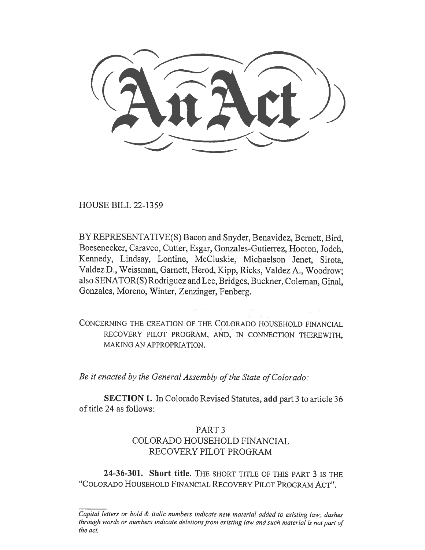HOUSE BILL 22-1359

BY REPRESENTATIVE(S) Bacon and Snyder, Benavidez, Bernett, Bird, Boesenecker, Caraveo, Cutter, Esgar, Gonzales-Gutierrez, Hooton, Jodeh, Kennedy, Lindsay, Lontine, McCluskie, Michaelson Jenet, Sirota, Valdez D., Weissman, Garnett, Herod, Kipp, Ricks, Valdez A., Woodrow; also SENATOR(S) Rodriguez and Lee, Bridges, Buckner, Coleman, Ginal, Gonzales, Moreno, Winter, Zenzinger, Fenberg.

CONCERNING THE CREATION OF THE COLORADO HOUSEHOLD FINANCIAL RECOVERY PILOT PROGRAM, AND, IN CONNECTION THEREWITH, MAKING AN APPROPRIATION.

Be it enacted by the General Assembly of the State of Colorado:

SECTION 1. In Colorado Revised Statutes, add part 3 to article 36 of title 24 as follows:

## PART 3 COLORADO HOUSEHOLD FINANCIAL RECOVERY PILOT PROGRAM

24-36-301. Short title. THE SHORT TITLE OF THIS PART 3 IS THE "COLORADO HOUSEHOLD FINANCIAL RECOVERY PILOT PROGRAM ACT".

Capital letters or bold & italic numbers indicate new material added to existing law; dashes through words or numbers indicate deletions from existing law and such material is not part of the act.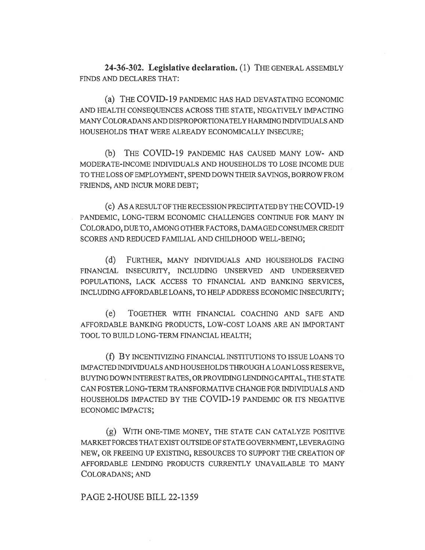24-36-302. Legislative declaration. (1) THE GENERAL ASSEMBLY FINDS AND DECLARES THAT:

(a) THE COVID-19 PANDEMIC HAS HAD DEVASTATING ECONOMIC AND HEALTH CONSEQUENCES ACROSS THE STATE, NEGATIVELY IMPACTING MANY COLORADANS AND DISPROPORTIONATELY HARMING INDIVIDUALS AND HOUSEHOLDS THAT WERE ALREADY ECONOMICALLY INSECURE;

(b) THE COVID-19 PANDEMIC HAS CAUSED MANY LOW- AND MODERATE-INCOME INDIVIDUALS AND HOUSEHOLDS TO LOSE INCOME DUE TO THE LOSS OF EMPLOYMENT, SPEND DOWN THEIR SAVINGS, BORROW FROM FRIENDS, AND INCUR MORE DEBT;

(c) AS A RESULT OF THE RECESSION PRECIPITATED BY THE COVID-19 PANDEMIC, LONG-TERM ECONOMIC CHALLENGES CONTINUE FOR MANY IN COLORADO, DUE TO, AMONG OTHER FACTORS, DAMAGED CONSUMER CREDIT SCORES AND REDUCED FAMILIAL AND CHILDHOOD WELL-BEING;

(d) FURTHER, MANY INDIVIDUALS AND HOUSEHOLDS FACING FINANCIAL INSECURITY, INCLUDING UNSERVED AND UNDERSERVED POPULATIONS, LACK ACCESS TO FINANCIAL AND BANKING SERVICES, INCLUDING AFFORDABLE LOANS, TO HELP ADDRESS ECONOMIC INSECURITY;

(e) TOGETHER WITH FINANCIAL COACHING AND SAFE AND AFFORDABLE BANKING PRODUCTS, LOW-COST LOANS ARE AN IMPORTANT TOOL TO BUILD LONG-TERM FINANCIAL HEALTH;

(f) BY INCENTIVIZING FINANCIAL INSTITUTIONS TO ISSUE LOANS TO IMPACTED INDIVIDUALS AND HOUSEHOLDS THROUGH A LOAN LOSS RESERVE, BUYING DOWN INTEREST RATES, OR PROVIDING LENDING CAPITAL, THE STATE CAN FOSTER LONG-TERM TRANSFORMATIVE CHANGE FOR INDIVIDUALS AND HOUSEHOLDS IMPACTED BY THE COVID-19 PANDEMIC OR ITS NEGATIVE ECONOMIC IMPACTS;

(g) WITH ONE-TIME MONEY, THE STATE CAN CATALYZE POSITIVE MARKET FORCES THAT EXIST OUTSIDE OF STATE GOVERNMENT, LEVERAGING NEW, OR FREEING UP EXISTING, RESOURCES TO SUPPORT THE CREATION OF AFFORDABLE LENDING PRODUCTS CURRENTLY UNAVAILABLE TO MANY COLORADANS; AND

## PAGE 2-HOUSE BILL 22-1359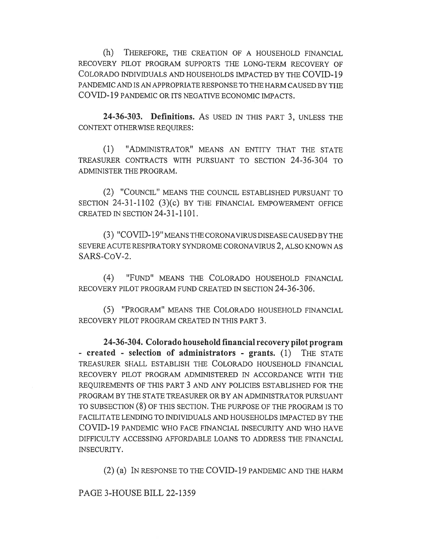(h) THEREFORE, THE CREATION OF A HOUSEHOLD FINANCIAL RECOVERY PILOT PROGRAM SUPPORTS THE LONG-TERM RECOVERY OF COLORADO INDIVIDUALS AND HOUSEHOLDS IMPACTED BY THE COVID-19 PANDEMIC AND IS AN APPROPRIATE RESPONSE TO THE HARM CAUSED BY THE COVID-19 PANDEMIC OR ITS NEGATIVE ECONOMIC IMPACTS.

24-36-303. Definitions. AS USED IN THIS PART 3, UNLESS THE CONTEXT OTHERWISE REQUIRES:

(1) "ADMINISTRATOR" MEANS AN ENTITY THAT THE STATE TREASURER CONTRACTS WITH PURSUANT TO SECTION 24-36-304 TO ADMINISTER THE PROGRAM.

(2) "COUNCIL" MEANS THE COUNCIL ESTABLISHED PURSUANT TO SECTION 24-31-1102 (3)(c) BY THE FINANCIAL EMPOWERMENT OFFICE CREATED IN SECTION 24-31-1101.

(3) "COVID-19" MEANS THE CORONAVIRUS DISEASE CAUSED BY THE SEVERE ACUTE RESPIRATORY SYNDROME CORONAVIRUS 2, ALSO KNOWN AS SARS-CoV-2.

(4) "FUND" MEANS THE COLORADO HOUSEHOLD FINANCIAL RECOVERY PILOT PROGRAM FUND CREATED IN SECTION 24-36-306.

(5) "PROGRAM" MEANS THE COLORADO HOUSEHOLD FINANCIAL RECOVERY PILOT PROGRAM CREATED IN THIS PART 3.

24-36-304. Colorado household financial recovery pilot program - created - selection of administrators - grants. (1) THE STATE TREASURER SHALL ESTABLISH THE COLORADO HOUSEHOLD FINANCIAL RECOVERY PILOT PROGRAM ADMINISTERED IN ACCORDANCE WITH THE REQUIREMENTS OF THIS PART 3 AND ANY POLICIES ESTABLISHED FOR THE PROGRAM BY THE STATE TREASURER OR BY AN ADMINISTRATOR PURSUANT TO SUBSECTION (8) OF THIS SECTION. THE PURPOSE OF THE PROGRAM IS TO FACILITATE LENDING TO INDIVIDUALS AND HOUSEHOLDS IMPACTED BY THE COVID-19 PANDEMIC WHO FACE FINANCIAL INSECURITY AND WHO HAVE DIFFICULTY ACCESSING AFFORDABLE LOANS TO ADDRESS THE FINANCIAL INSECURITY.

(2) (a) IN RESPONSE TO THE COVID-19 PANDEMIC AND THE HARM

PAGE 3-HOUSE BILL 22-1359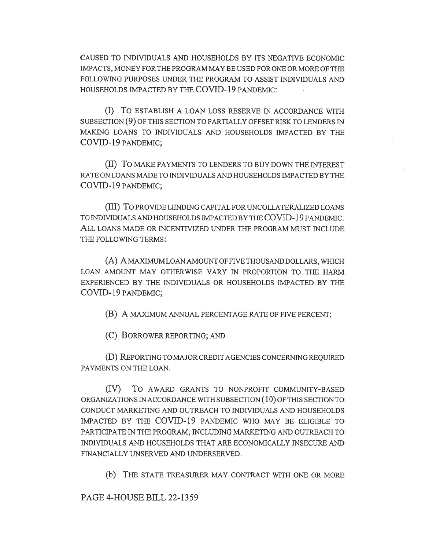CAUSED TO INDIVIDUALS AND HOUSEHOLDS BY ITS NEGATIVE ECONOMIC IMPACTS, MONEY FOR THE PROGRAM MAY BE USED FOR ONE OR MORE OF THE FOLLOWING PURPOSES UNDER THE PROGRAM TO ASSIST INDIVIDUALS AND HOUSEHOLDS IMPACTED BY THE COVID-19 PANDEMIC:

(I) To ESTABLISH A LOAN LOSS RESERVE IN ACCORDANCE WITH SUBSECTION (9) OF THIS SECTION TO PARTIALLY OFFSET RISK TO LENDERS IN MAKING LOANS TO INDIVIDUALS AND HOUSEHOLDS IMPACTED BY THE COVID-19 PANDEMIC;

(II) TO MAKE PAYMENTS TO LENDERS TO BUY DOWN THE INTEREST RATE ON LOANS MADE TO INDIVIDUALS AND HOUSEHOLDS IMPACTED BY THE COVID-19 PANDEMIC;

(III) To PROVIDE LENDING CAPITAL FOR UNCOLLATERALIZED LOANS TO INDIVIDUALS AND HOUSEHOLDS IMPACTED BY THE C OVID-19 PANDEMIC. ALL LOANS MADE OR INCENTIVIZED UNDER THE PROGRAM MUST INCLUDE THE FOLLOWING TERMS:

(A) A MAXIMUM LOAN AMOUNT OF FIVE THOUSAND DOLLARS, WHICH LOAN AMOUNT MAY OTHERWISE VARY IN PROPORTION TO THE HARM EXPERIENCED BY THE INDIVIDUALS OR HOUSEHOLDS IMPACTED BY THE COVID-19 PANDEMIC;

(B) A MAXIMUM ANNUAL PERCENTAGE RATE OF FIVE PERCENT;

(C) BORROWER REPORTING; AND

(D) REPORTING TO MAJOR CREDIT AGENCIES CONCERNING REQUIRED PAYMENTS ON THE LOAN.

(IV) To AWARD GRANTS TO NONPROFIT COMMUNITY-BASED ORGANIZATIONS IN ACCORDANCE WITH SUBSECTION  $(10)$  OF THIS SECTION TO CONDUCT MARKETING AND OUTREACH TO INDIVIDUALS AND HOUSEHOLDS IMPACTED BY THE COVID-19 PANDEMIC WHO MAY BE ELIGIBLE TO PARTICIPATE IN THE PROGRAM, INCLUDING MARKETING AND OUTREACH TO INDIVIDUALS AND HOUSEHOLDS THAT ARE ECONOMICALLY INSECURE AND FINANCIALLY UNSERVED AND UNDERSERVED.

(b) THE STATE TREASURER MAY CONTRACT WITH ONE OR MORE

PAGE 4-HOUSE BILL 22-1359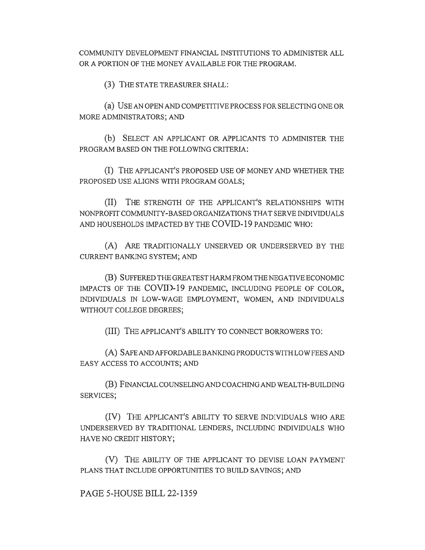COMMUNITY DEVELOPMENT FINANCIAL INSTITUTIONS TO ADMINISTER ALL OR A PORTION OF THE MONEY AVAILABLE FOR THE PROGRAM.

(3) THE STATE TREASURER SHALL:

(a) USE AN OPEN AND COMPETITIVE PROCESS FOR SELECTING ONE OR MORE ADMINISTRATORS; AND

(b) SELECT AN APPLICANT OR APPLICANTS TO ADMINISTER THE PROGRAM BASED ON THE FOLLOWING CRITERIA:

(I) THE APPLICANT'S PROPOSED USE OF MONEY AND WHETHER THE PROPOSED USE ALIGNS WITH PROGRAM GOALS;

(II) THE STRENGTH OF THE APPLICANT'S RELATIONSHIPS WITH NONPROFIT COMMUNITY-BASED ORGANIZATIONS THAT SERVE INDIVIDUALS AND HOUSEHOLDS IMPACTED BY THE COVID-19 PANDEMIC WHO:

(A) ARE TRADITIONALLY UNSERVED OR UNDERSERVED BY THE CURRENT BANKING SYSTEM; AND

(B) SUFFERED THE GREATEST HARM FROM THE NEGATIVE ECONOMIC IMPACTS OF THE COVID-19 PANDEMIC, INCLUDING PEOPLE OF COLOR, INDIVIDUALS IN LOW-WAGE EMPLOYMENT, WOMEN, AND INDIVIDUALS WITHOUT COLLEGE DEGREES;

(III) THE APPLICANT'S ABILITY TO CONNECT BORROWERS TO:

(A) SAFE AND AFFORDABLE BANKING PRODUCTS WITH LOW FEES AND EASY ACCESS TO ACCOUNTS; AND

(B) FINANCIAL COUNSELING AND COACHING AND WEALTH-BUILDING SERVICES;

(IV) THE APPLICANT'S ABILITY TO SERVE INDIVIDUALS WHO ARE UNDERSERVED BY TRADITIONAL LENDERS, INCLUDING INDIVIDUALS WHO HAVE NO CREDIT HISTORY;

(V) THE ABILITY OF THE APPLICANT TO DEVISE LOAN PAYMENT PLANS THAT INCLUDE OPPORTUNITIES TO BUILD SAVINGS; AND

PAGE 5-HOUSE BILL 22-1359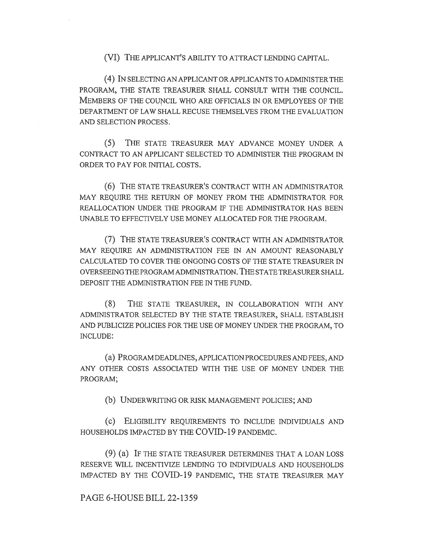(VI) THE APPLICANT'S ABILITY TO ATTRACT LENDING CAPITAL.

(4) IN SELECTING AN APPLICANT OR APPLICANTS TO ADMINISTER THE PROGRAM, THE STATE TREASURER SHALL CONSULT WITH THE COUNCIL. MEMBERS OF THE COUNCIL WHO ARE OFFICIALS IN OR EMPLOYEES OF THE DEPARTMENT OF LAW SHALL RECUSE THEMSELVES FROM THE EVALUATION AND SELECTION PROCESS.

(5) THE STATE TREASURER MAY ADVANCE MONEY UNDER A CONTRACT TO AN APPLICANT SELECTED TO ADMINISTER THE PROGRAM IN ORDER TO PAY FOR INITIAL COSTS.

(6) THE STATE TREASURER'S CONTRACT WITH AN ADMINISTRATOR MAY REQUIRE THE RETURN OF MONEY FROM THE ADMINISTRATOR FOR REALLOCATION UNDER THE PROGRAM IF THE ADMINISTRATOR HAS BEEN UNABLE TO EFFECTIVELY USE MONEY ALLOCATED FOR THE PROGRAM.

(7) THE STATE TREASURER'S CONTRACT WITH AN ADMINISTRATOR MAY REQUIRE AN ADMINISTRATION FEE IN AN AMOUNT REASONABLY CALCULATED TO COVER THE ONGOING COSTS OF THE STATE TREASURER IN OVERSEEING THE PROGRAM ADMINISTRATION. THE STATE TREASURER SHALL DEPOSIT THE ADMINISTRATION FEE IN THE FUND.

(8) THE STATE TREASURER, IN COLLABORATION WITH ANY ADMINISTRATOR SELECTED BY THE STATE TREASURER, SHALL ESTABLISH AND PUBLICIZE POLICIES FOR THE USE OF MONEY UNDER THE PROGRAM, TO INCLUDE:

(a) PROGRAM DEADLINES, APPLICATION PROCEDURES AND FEES, AND ANY OTHER COSTS ASSOCIATED WITH THE USE OF MONEY UNDER THE PROGRAM;

(b) UNDERWRITING OR RISK MANAGEMENT POLICIES; AND

(c) ELIGIBILITY REQUIREMENTS TO INCLUDE INDIVIDUALS AND HOUSEHOLDS IMPACTED BY THE COVID-19 PANDEMIC.

(9) (a) IF THE STATE TREASURER DETERMINES THAT A LOAN LOSS RESERVE WILL INCENTIVIZE LENDING TO INDIVIDUALS AND HOUSEHOLDS IMPACTED BY THE COVID-19 PANDEMIC, THE STATE TREASURER MAY

PAGE 6-HOUSE BILL 22-1359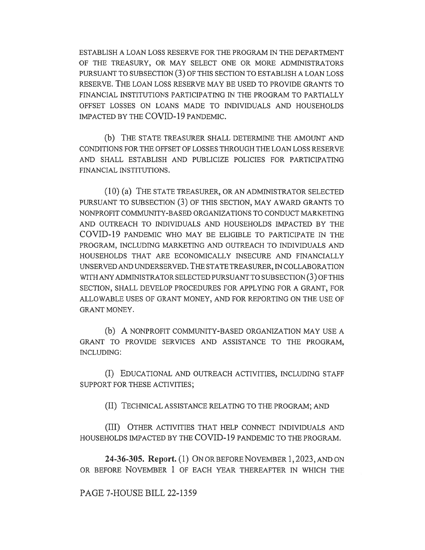ESTABLISH A LOAN LOSS RESERVE FOR THE PROGRAM IN THE DEPARTMENT OF THE TREASURY, OR MAY SELECT ONE OR MORE ADMINISTRATORS PURSUANT TO SUBSECTION (3) OF THIS SECTION TO ESTABLISH A LOAN LOSS RESERVE. THE LOAN LOSS RESERVE MAY BE USED TO PROVIDE GRANTS TO FINANCIAL INSTITUTIONS PARTICIPATING IN THE PROGRAM TO PARTIALLY OFFSET LOSSES ON LOANS MADE TO INDIVIDUALS AND HOUSEHOLDS IMPACTED BY THE COVID-19 PANDEMIC.

(b) THE STATE TREASURER SHALL DETERMINE THE AMOUNT AND CONDITIONS FOR THE OFFSET OF LOSSES THROUGH THE LOAN LOSS RESERVE AND SHALL ESTABLISH AND PUBLICIZE POLICIES FOR PARTICIPATING FINANCIAL INSTITUTIONS.

(10) (a) THE STATE TREASURER, OR AN ADMINISTRATOR SELECTED PURSUANT TO SUBSECTION (3) OF THIS SECTION, MAY AWARD GRANTS TO NONPROFIT COMMUNITY-BASED ORGANIZATIONS TO CONDUCT MARKETING AND OUTREACH TO INDIVIDUALS AND HOUSEHOLDS IMPACTED BY THE COVID-19 PANDEMIC WHO MAY BE ELIGIBLE TO PARTICIPATE IN THE PROGRAM, INCLUDING MARKETING AND OUTREACH TO INDIVIDUALS AND HOUSEHOLDS THAT ARE ECONOMICALLY INSECURE AND FINANCIALLY UNSERVED AND UNDERSERVED. THE STATE TREASURER, IN COLLABORATION WITH ANY ADMINISTRATOR SELECTED PURSUANT TO SUBSECTION (3) OF THIS SECTION, SHALL DEVELOP PROCEDURES FOR APPLYING FOR A GRANT, FOR ALLOWABLE USES OF GRANT MONEY, AND FOR REPORTING ON THE USE OF GRANT MONEY.

(b) A NONPROFIT COMMUNITY-BASED ORGANIZATION MAY USE A GRANT TO PROVIDE SERVICES AND ASSISTANCE TO THE PROGRAM, INCLUDING:

(I) EDUCATIONAL AND OUTREACH ACTIVITIES, INCLUDING STAFF SUPPORT FOR THESE ACTIVITIES;

(II) TECHNICAL ASSISTANCE RELATING TO THE PROGRAM; AND

(III) OTHER ACTIVITIES THAT HELP CONNECT INDIVIDUALS AND HOUSEHOLDS IMPACTED BY THE COVID-19 PANDEMIC TO THE PROGRAM.

24-36-305. Report. (1) ON OR BEFORE NOVEMBER 1,2023, AND ON OR BEFORE NOVEMBER 1 OF EACH YEAR THEREAFTER IN WHICH THE

PAGE 7-HOUSE BILL 22-1359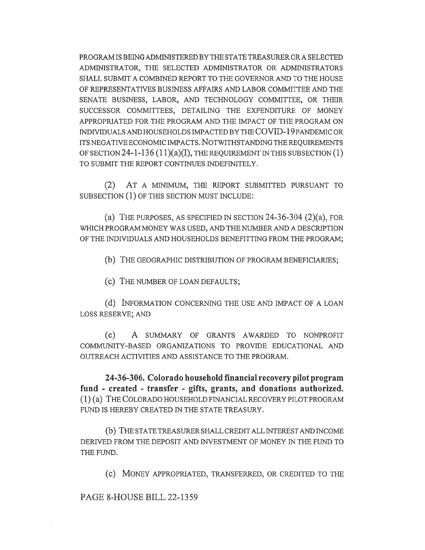PROGRAM IS BEING ADMINISTERED BY THE STATE TREASURER OR A SELECTED ADMINISTRATOR, THE SELECTED ADMINISTRATOR OR ADMINISTRATORS SHALL SUBMIT A COMBINED REPORT TO THE GOVERNOR AND TO THE HOUSE OF REPRESENTATIVES BUSINESS AFFAIRS AND LABOR COMMITTEE AND THE SENATE BUSINESS, LABOR, AND TECHNOLOGY COMMITTEE, OR THEIR SUCCESSOR COMMITTEES, DETAILING THE EXPENDITURE OF MONEY APPROPRIATED FOR THE PROGRAM AND THE IMPACT OF THE PROGRAM ON INDIVIDUALS AND HOUSEHOLDS IMPACTED BY THE COVID-19 PANDEMIC OR ITS NEGATIVE ECONOMIC IMPACTS. NOTWITHSTANDING THE REQUIREMENTS OF SECTION 24-1-136  $(11)(a)(I)$ , THE REQUIREMENT IN THIS SUBSECTION  $(1)$ TO SUBMIT THE REPORT CONTINUES INDEFINITELY.

(2) AT A MINIMUM, THE REPORT SUBMITTED PURSUANT TO SUBSECTION (1) OF THIS SECTION MUST INCLUDE:

(a) THE PURPOSES, AS SPECIFIED IN SECTION  $24-36-304$   $(2)(a)$ , FOR WHICH PROGRAM MONEY WAS USED, AND THE NUMBER AND A DESCRIPTION OF THE INDIVIDUALS AND HOUSEHOLDS BENEFITTING FROM THE PROGRAM;

(b) THE GEOGRAPHIC DISTRIBUTION OF PROGRAM BENEFICIARIES;

(C) THE NUMBER OF LOAN DEFAULTS;

(d) INFORMATION CONCERNING THE USE AND IMPACT OF A LOAN LOSS RESERVE; AND

(e) A SUMMARY OF GRANTS AWARDED TO NONPROFIT COMMUNITY-BASED ORGANIZATIONS TO PROVIDE EDUCATIONAL AND OUTREACH ACTIVITIES AND ASSISTANCE TO THE PROGRAM.

24-36-306. Colorado household financial recovery pilot program fund - created - transfer - gifts, grants, and donations authorized. (1) (a) THE COLORADO HOUSEHOLD FINANCIAL RECOVERY PILOT PROGRAM FUND IS HEREBY CREATED IN THE STATE TREASURY.

(b) THE STATE TREASURER SHALL CREDIT ALL INTEREST AND INCOME DERIVED FROM THE DEPOSIT AND INVESTMENT OF MONEY IN THE FUND TO THE FUND.

(C) MONEY APPROPRIATED, TRANSFERRED, OR CREDITED TO THE

PAGE 8-HOUSE BILL 22-1359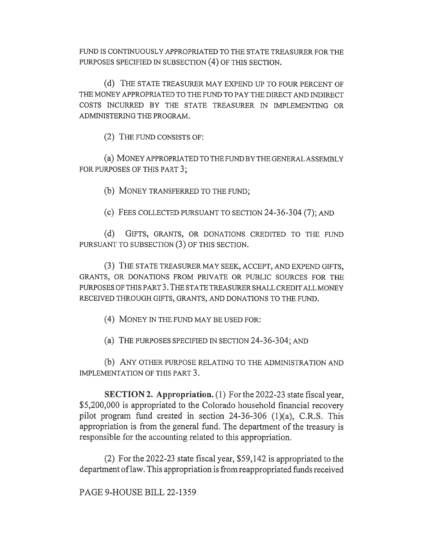FUND IS CONTINUOUSLY APPROPRIATED TO THE STATE TREASURER FOR THE PURPOSES SPECIFIED IN SUBSECTION (4) OF THIS SECTION.

(d) THE STATE TREASURER MAY EXPEND UP TO FOUR PERCENT OF THE MONEY APPROPRIATED TO THE FUND TO PAY THE DIRECT AND INDIRECT COSTS INCURRED BY THE STATE TREASURER IN IMPLEMENTING OR ADMINISTERING THE PROGRAM.

(2) THE FUND CONSISTS OF:

(a) MONEY APPROPRIATED TO THE FUND BY THE GENERAL ASSEMBLY FOR PURPOSES OF THIS PART 3;

(b) MONEY TRANSFERRED TO THE FUND;

(c) FEES COLLECTED PURSUANT TO SECTION 24-36-304 (7); AND

(d) GIFTS, GRANTS, OR DONATIONS CREDITED TO THE FUND PURSUANT TO SUBSECTION (3) OF THIS SECTION.

(3) THE STATE TREASURER MAY SEEK, ACCEPT, AND EXPEND GIFTS, GRANTS, OR DONATIONS FROM PRIVATE OR PUBLIC SOURCES FOR THE PURPOSES OF THIS PART 3. THE STATE TREASURER SHALL CREDIT ALL MONEY RECEIVED THROUGH GIFTS, GRANTS, AND DONATIONS TO THE FUND.

(4) MONEY IN THE FUND MAY BE USED FOR:

(a) THE PURPOSES SPECIFIED IN SECTION 24-36-304; AND

(b) ANY OTHER PURPOSE RELATING TO THE ADMINISTRATION AND IMPLEMENTATION OF THIS PART 3.

SECTION 2. Appropriation. (1) For the 2022-23 state fiscal year, \$5,200,000 is appropriated to the Colorado household financial recovery pilot program fund created in section 24-36-306 (1)(a), C.R.S. This appropriation is from the general fund. The department of the treasury is responsible for the accounting related to this appropriation.

(2) For the 2022-23 state fiscal year, \$59,142 is appropriated to the department of law. This appropriation is from reappropriated funds received

PAGE 9-HOUSE BILL 22-1359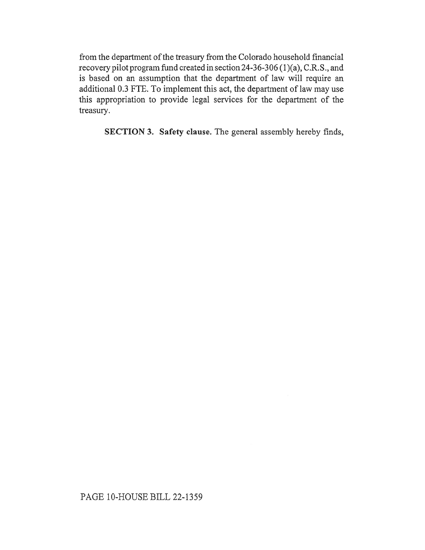from the department of the treasury from the Colorado household financial recovery pilot program fund created in section 24-36-306 (1)(a), C.R.S., and is based on an assumption that the department of law will require an additional 0.3 FTE. To implement this act, the department of law may use this appropriation to provide legal services for the department of the treasury.

SECTION 3. Safety clause. The general assembly hereby finds,